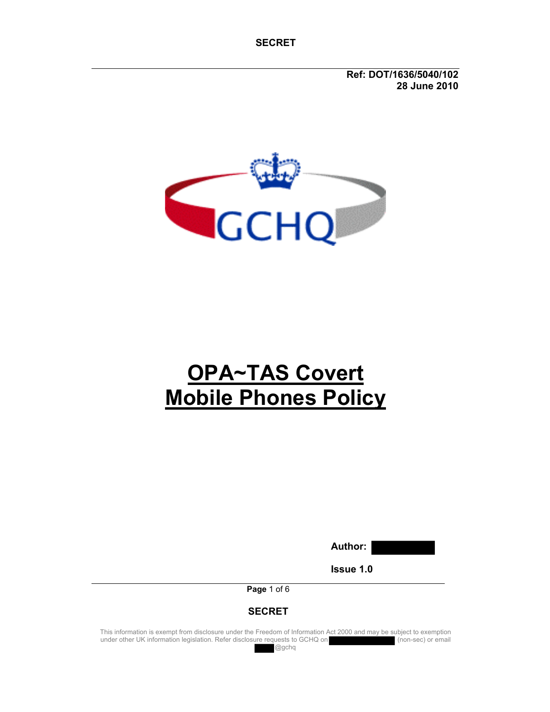**Ref: DOT/1636/5040/102 28 June 2010** 



# **OPA~TAS Covert Mobile Phones Policy**

**Author:** 

**Issue 1.0** 

**Page** 1 of 6

### **SECRET**

This information is exempt from disclosure under the Freedom of Information Act 2000 and may be subject to exemption under other UK information legislation. Refer disclosure requests to GCHQ on (non-sec) or email

@gchq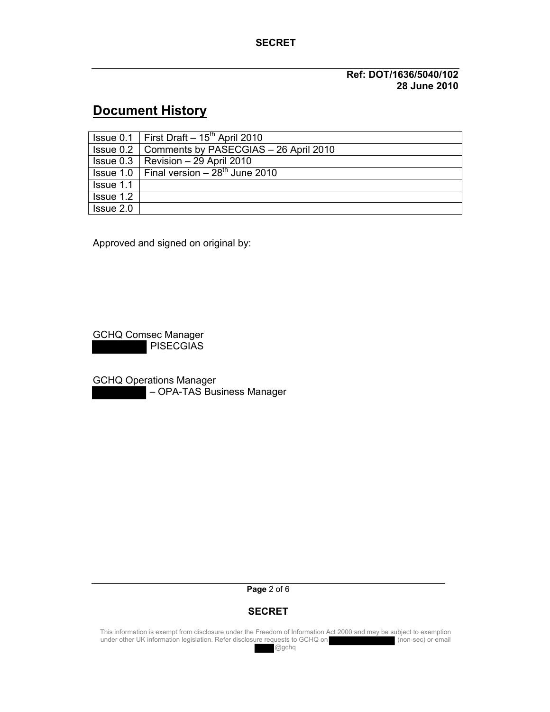#### **Ref: DOT/1636/5040/102 28 June 2010**

# **Document History**

|           | $\sqrt{$ Issue 0.1   First Draft – 15 <sup>th</sup> April 2010 |
|-----------|----------------------------------------------------------------|
|           | <b>Issue 0.2   Comments by PASECGIAS - 26 April 2010</b>       |
|           | $\vert$ Issue 0.3 $\vert$ Revision – 29 April 2010             |
|           | $\vert$ Issue 1.0   Final version $-28^{th}$ June 2010         |
| Issue 1.1 |                                                                |
| Issue 1.2 |                                                                |
| Issue 2.0 |                                                                |

Approved and signed on original by:

GCHQ Comsec Manager PISECGIAS

GCHQ Operations Manager – OPA-TAS Business Manager

**Page** 2 of 6

### **SECRET**

This information is exempt from disclosure under the Freedom of Information Act 2000 and may be subject to exemption under other UK information legislation. Refer disclosure requests to GCHQ on (non-sec) or email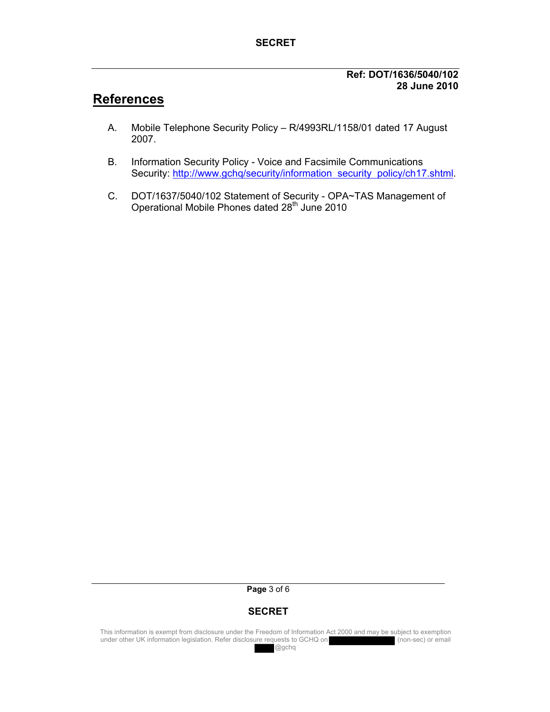#### **Ref: DOT/1636/5040/102 28 June 2010**

# **References**

- A. Mobile Telephone Security Policy R/4993RL/1158/01 dated 17 August 2007.
- B. Information Security Policy Voice and Facsimile Communications Security: http://www.gchq/security/information security policy/ch17.shtml.
- C. DOT/1637/5040/102 Statement of Security OPA~TAS Management of Operational Mobile Phones dated 28<sup>th</sup> June 2010

#### **Page** 3 of 6

# **SECRET**

This information is exempt from disclosure under the Freedom of Information Act 2000 and may be subject to exemption under other UK information legislation. Refer disclosure requests to GCHQ on under other UK information legislation. Refer disclosure requests to GCHQ on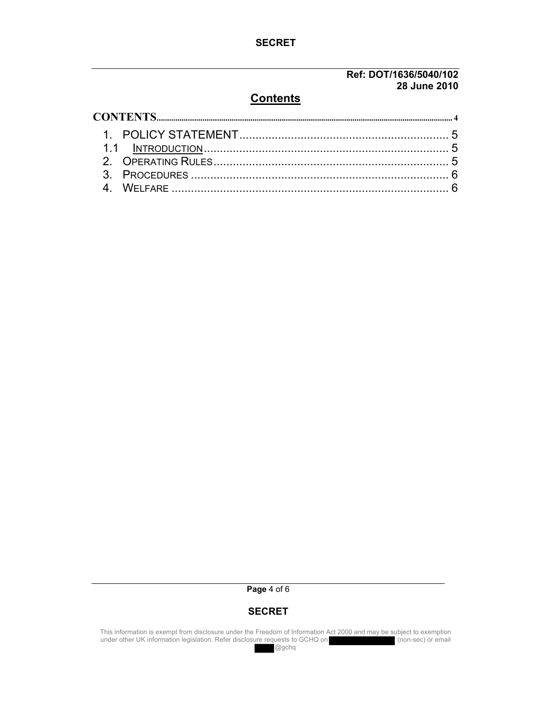#### **Ref: DOT/1636/5040/102 28 June 2010**

## **Contents**

#### **Page** 4 of 6

#### **SECRET**

This information is exempt from disclosure under the Freedom of Information Act 2000 and may be subject to exemption under other UK information legislation. Refer disclosure requests to GCHQ on (non-sec) or email

@gchq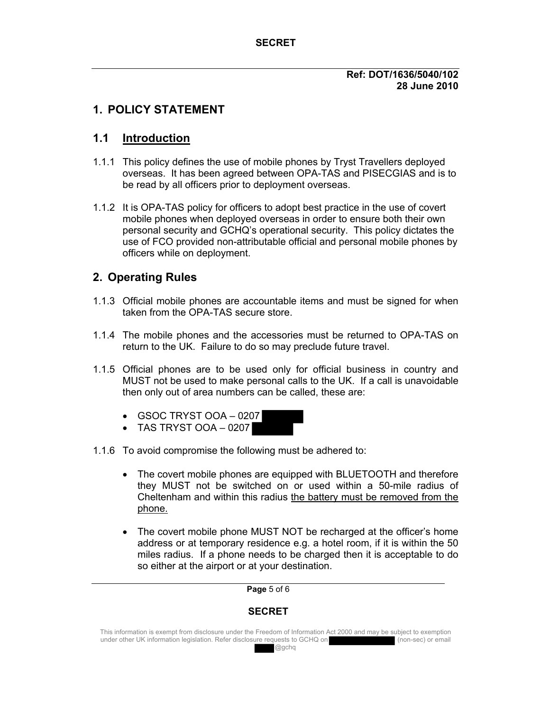#### **Ref: DOT/1636/5040/102 28 June 2010**

# **1. POLICY STATEMENT**

# **1.1 Introduction**

- 1.1.1 This policy defines the use of mobile phones by Tryst Travellers deployed overseas. It has been agreed between OPA-TAS and PISECGIAS and is to be read by all officers prior to deployment overseas.
- 1.1.2 It is OPA-TAS policy for officers to adopt best practice in the use of covert mobile phones when deployed overseas in order to ensure both their own personal security and GCHQ's operational security. This policy dictates the use of FCO provided non-attributable official and personal mobile phones by officers while on deployment.

# **2. Operating Rules**

- 1.1.3 Official mobile phones are accountable items and must be signed for when taken from the OPA-TAS secure store.
- 1.1.4 The mobile phones and the accessories must be returned to OPA-TAS on return to the UK. Failure to do so may preclude future travel.
- 1.1.5 Official phones are to be used only for official business in country and MUST not be used to make personal calls to the UK. If a call is unavoidable then only out of area numbers can be called, these are:
	- $\bullet$  GSOC TRYST OOA 0207
	- $\bullet$  TAS TRYST OOA 0207
- 1.1.6 To avoid compromise the following must be adhered to:
	- The covert mobile phones are equipped with BLUETOOTH and therefore they MUST not be switched on or used within a 50-mile radius of Cheltenham and within this radius the battery must be removed from the phone.
	- The covert mobile phone MUST NOT be recharged at the officer's home address or at temporary residence e.g. a hotel room, if it is within the 50 miles radius. If a phone needs to be charged then it is acceptable to do so either at the airport or at your destination.